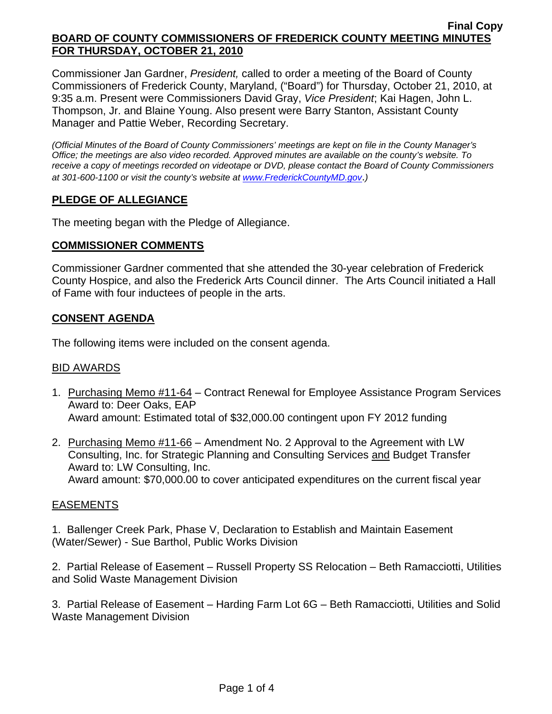Commissioner Jan Gardner, *President,* called to order a meeting of the Board of County Commissioners of Frederick County, Maryland, ("Board") for Thursday, October 21, 2010, at 9:35 a.m. Present were Commissioners David Gray, *Vice President*; Kai Hagen, John L. Thompson, Jr. and Blaine Young. Also present were Barry Stanton, Assistant County Manager and Pattie Weber, Recording Secretary.

*(Official Minutes of the Board of County Commissioners' meetings are kept on file in the County Manager's Office; the meetings are also video recorded. Approved minutes are available on the county's website. To receive a copy of meetings recorded on videotape or DVD, please contact the Board of County Commissioners at 301-600-1100 or visit the county's website at [www.FrederickCountyMD.gov](http://www.frederickcountymd.gov/)*.*)* 

# **PLEDGE OF ALLEGIANCE**

The meeting began with the Pledge of Allegiance.

## **COMMISSIONER COMMENTS**

Commissioner Gardner commented that she attended the 30-year celebration of Frederick County Hospice, and also the Frederick Arts Council dinner. The Arts Council initiated a Hall of Fame with four inductees of people in the arts.

## **CONSENT AGENDA**

The following items were included on the consent agenda.

## BID AWARDS

- 1. Purchasing Memo #11-64 Contract Renewal for Employee Assistance Program Services Award to: Deer Oaks, EAP Award amount: Estimated total of \$32,000.00 contingent upon FY 2012 funding
- 2. Purchasing Memo #11-66 Amendment No. 2 Approval to the Agreement with LW Consulting, Inc. for Strategic Planning and Consulting Services and Budget Transfer Award to: LW Consulting, Inc. Award amount: \$70,000.00 to cover anticipated expenditures on the current fiscal year

## EASEMENTS

1. Ballenger Creek Park, Phase V, Declaration to Establish and Maintain Easement (Water/Sewer) - Sue Barthol, Public Works Division

2. Partial Release of Easement – Russell Property SS Relocation – Beth Ramacciotti, Utilities and Solid Waste Management Division

3. Partial Release of Easement – Harding Farm Lot 6G – Beth Ramacciotti, Utilities and Solid Waste Management Division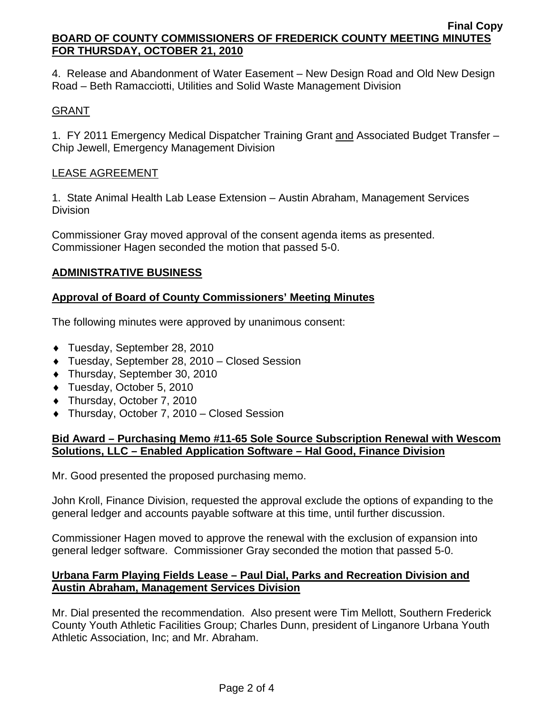4. Release and Abandonment of Water Easement – New Design Road and Old New Design Road – Beth Ramacciotti, Utilities and Solid Waste Management Division

## **GRANT**

1. FY 2011 Emergency Medical Dispatcher Training Grant and Associated Budget Transfer – Chip Jewell, Emergency Management Division

## LEASE AGREEMENT

1. State Animal Health Lab Lease Extension – Austin Abraham, Management Services **Division** 

Commissioner Gray moved approval of the consent agenda items as presented. Commissioner Hagen seconded the motion that passed 5-0.

## **ADMINISTRATIVE BUSINESS**

## **Approval of Board of County Commissioners' Meeting Minutes**

The following minutes were approved by unanimous consent:

- ♦ Tuesday, September 28, 2010
- ♦ Tuesday, September 28, 2010 Closed Session
- ♦ Thursday, September 30, 2010
- ♦ Tuesday, October 5, 2010
- ♦ Thursday, October 7, 2010
- ♦ Thursday, October 7, 2010 Closed Session

## **Bid Award – Purchasing Memo #11-65 Sole Source Subscription Renewal with Wescom Solutions, LLC – Enabled Application Software – Hal Good, Finance Division**

Mr. Good presented the proposed purchasing memo.

John Kroll, Finance Division, requested the approval exclude the options of expanding to the general ledger and accounts payable software at this time, until further discussion.

Commissioner Hagen moved to approve the renewal with the exclusion of expansion into general ledger software. Commissioner Gray seconded the motion that passed 5-0.

## **Urbana Farm Playing Fields Lease – Paul Dial, Parks and Recreation Division and Austin Abraham, Management Services Division**

Mr. Dial presented the recommendation. Also present were Tim Mellott, Southern Frederick County Youth Athletic Facilities Group; Charles Dunn, president of Linganore Urbana Youth Athletic Association, Inc; and Mr. Abraham.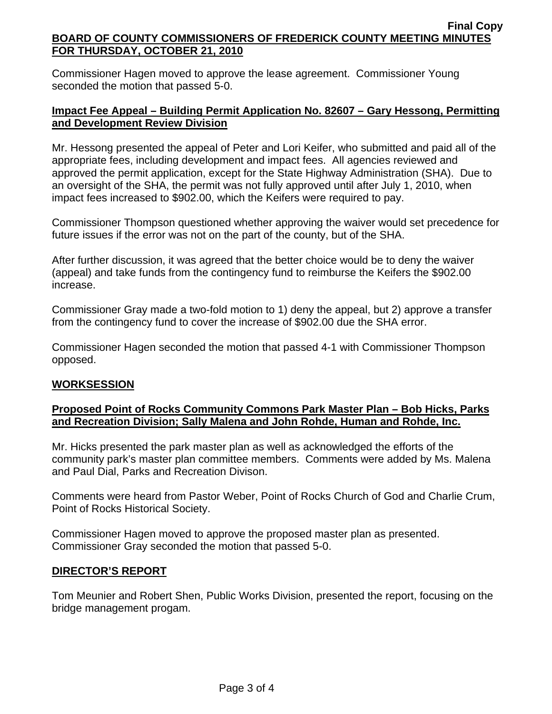Commissioner Hagen moved to approve the lease agreement. Commissioner Young seconded the motion that passed 5-0.

## **Impact Fee Appeal – Building Permit Application No. 82607 – Gary Hessong, Permitting and Development Review Division**

Mr. Hessong presented the appeal of Peter and Lori Keifer, who submitted and paid all of the appropriate fees, including development and impact fees. All agencies reviewed and approved the permit application, except for the State Highway Administration (SHA). Due to an oversight of the SHA, the permit was not fully approved until after July 1, 2010, when impact fees increased to \$902.00, which the Keifers were required to pay.

Commissioner Thompson questioned whether approving the waiver would set precedence for future issues if the error was not on the part of the county, but of the SHA.

After further discussion, it was agreed that the better choice would be to deny the waiver (appeal) and take funds from the contingency fund to reimburse the Keifers the \$902.00 increase.

Commissioner Gray made a two-fold motion to 1) deny the appeal, but 2) approve a transfer from the contingency fund to cover the increase of \$902.00 due the SHA error.

Commissioner Hagen seconded the motion that passed 4-1 with Commissioner Thompson opposed.

## **WORKSESSION**

## **Proposed Point of Rocks Community Commons Park Master Plan – Bob Hicks, Parks and Recreation Division; Sally Malena and John Rohde, Human and Rohde, Inc.**

Mr. Hicks presented the park master plan as well as acknowledged the efforts of the community park's master plan committee members. Comments were added by Ms. Malena and Paul Dial, Parks and Recreation Divison.

Comments were heard from Pastor Weber, Point of Rocks Church of God and Charlie Crum, Point of Rocks Historical Society.

Commissioner Hagen moved to approve the proposed master plan as presented. Commissioner Gray seconded the motion that passed 5-0.

## **DIRECTOR'S REPORT**

Tom Meunier and Robert Shen, Public Works Division, presented the report, focusing on the bridge management progam.